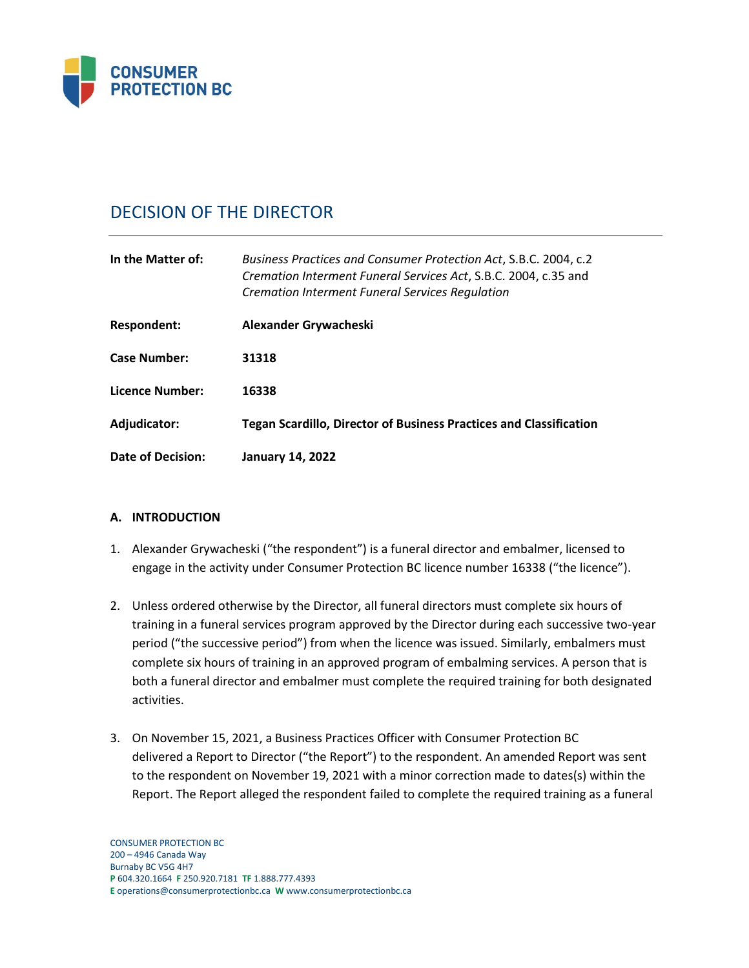

# DECISION OF THE DIRECTOR

| In the Matter of:      | Business Practices and Consumer Protection Act, S.B.C. 2004, c.2<br>Cremation Interment Funeral Services Act, S.B.C. 2004, c.35 and<br><b>Cremation Interment Funeral Services Regulation</b> |
|------------------------|-----------------------------------------------------------------------------------------------------------------------------------------------------------------------------------------------|
| <b>Respondent:</b>     | Alexander Grywacheski                                                                                                                                                                         |
| <b>Case Number:</b>    | 31318                                                                                                                                                                                         |
| <b>Licence Number:</b> | 16338                                                                                                                                                                                         |
| Adjudicator:           | <b>Tegan Scardillo, Director of Business Practices and Classification</b>                                                                                                                     |
| Date of Decision:      | <b>January 14, 2022</b>                                                                                                                                                                       |

## **A. INTRODUCTION**

- 1. Alexander Grywacheski ("the respondent") is a funeral director and embalmer, licensed to engage in the activity under Consumer Protection BC licence number 16338 ("the licence").
- 2. Unless ordered otherwise by the Director, all funeral directors must complete six hours of training in a funeral services program approved by the Director during each successive two-year period ("the successive period") from when the licence was issued. Similarly, embalmers must complete six hours of training in an approved program of embalming services. A person that is both a funeral director and embalmer must complete the required training for both designated activities.
- 3. On November 15, 2021, a Business Practices Officer with Consumer Protection BC delivered a Report to Director ("the Report") to the respondent. An amended Report was sent to the respondent on November 19, 2021 with a minor correction made to dates(s) within the Report. The Report alleged the respondent failed to complete the required training as a funeral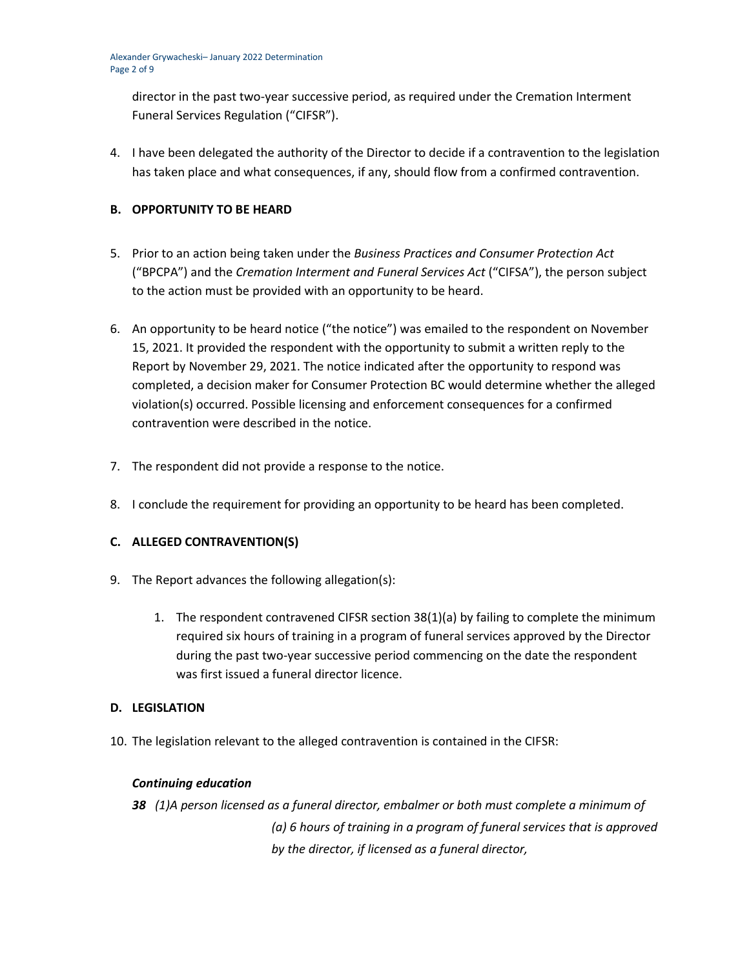director in the past two-year successive period, as required under the Cremation Interment Funeral Services Regulation ("CIFSR").

4. I have been delegated the authority of the Director to decide if a contravention to the legislation has taken place and what consequences, if any, should flow from a confirmed contravention.

## **B. OPPORTUNITY TO BE HEARD**

- 5. Prior to an action being taken under the *Business Practices and Consumer Protection Act*  ("BPCPA") and the *Cremation Interment and Funeral Services Act* ("CIFSA"), the person subject to the action must be provided with an opportunity to be heard.
- 6. An opportunity to be heard notice ("the notice") was emailed to the respondent on November 15, 2021. It provided the respondent with the opportunity to submit a written reply to the Report by November 29, 2021. The notice indicated after the opportunity to respond was completed, a decision maker for Consumer Protection BC would determine whether the alleged violation(s) occurred. Possible licensing and enforcement consequences for a confirmed contravention were described in the notice.
- 7. The respondent did not provide a response to the notice.
- 8. I conclude the requirement for providing an opportunity to be heard has been completed.

# **C. ALLEGED CONTRAVENTION(S)**

- 9. The Report advances the following allegation(s):
	- 1. The respondent contravened CIFSR section 38(1)(a) by failing to complete the minimum required six hours of training in a program of funeral services approved by the Director during the past two-year successive period commencing on the date the respondent was first issued a funeral director licence.

## **D. LEGISLATION**

10. The legislation relevant to the alleged contravention is contained in the CIFSR:

## *Continuing education*

*38 (1)A person licensed as a funeral director, embalmer or both must complete a minimum of (a) 6 hours of training in a program of funeral services that is approved by the director, if licensed as a funeral director,*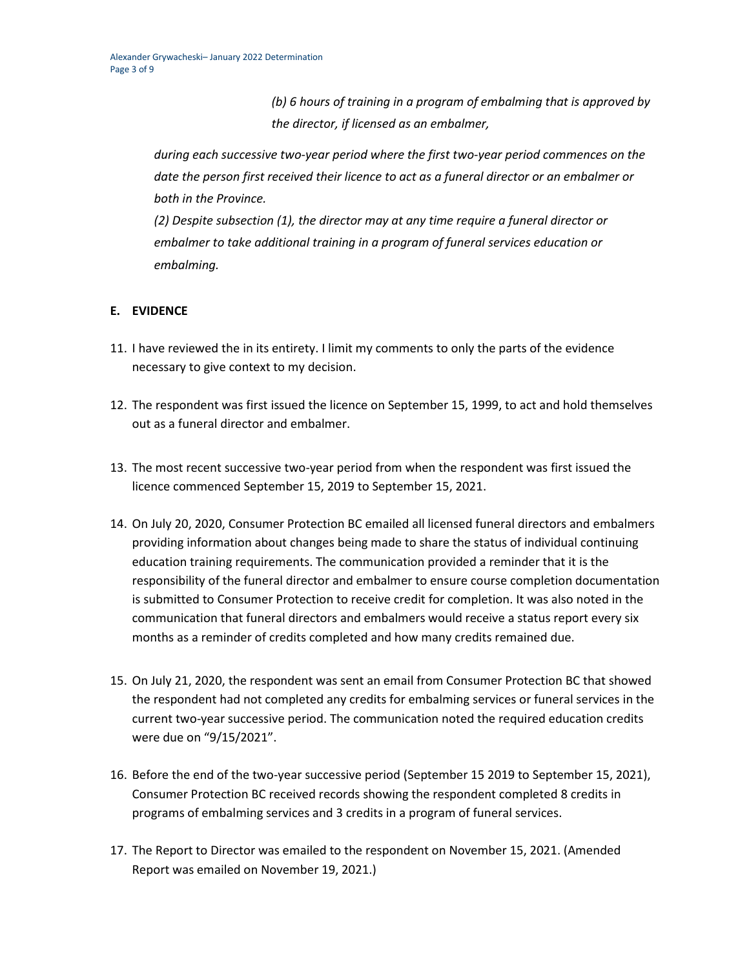*(b) 6 hours of training in a program of embalming that is approved by the director, if licensed as an embalmer,*

*during each successive two-year period where the first two-year period commences on the date the person first received their licence to act as a funeral director or an embalmer or both in the Province.*

*(2) Despite subsection (1), the director may at any time require a funeral director or embalmer to take additional training in a program of funeral services education or embalming.*

# **E. EVIDENCE**

- 11. I have reviewed the in its entirety. I limit my comments to only the parts of the evidence necessary to give context to my decision.
- 12. The respondent was first issued the licence on September 15, 1999, to act and hold themselves out as a funeral director and embalmer.
- 13. The most recent successive two-year period from when the respondent was first issued the licence commenced September 15, 2019 to September 15, 2021.
- 14. On July 20, 2020, Consumer Protection BC emailed all licensed funeral directors and embalmers providing information about changes being made to share the status of individual continuing education training requirements. The communication provided a reminder that it is the responsibility of the funeral director and embalmer to ensure course completion documentation is submitted to Consumer Protection to receive credit for completion. It was also noted in the communication that funeral directors and embalmers would receive a status report every six months as a reminder of credits completed and how many credits remained due.
- 15. On July 21, 2020, the respondent was sent an email from Consumer Protection BC that showed the respondent had not completed any credits for embalming services or funeral services in the current two-year successive period. The communication noted the required education credits were due on "9/15/2021".
- 16. Before the end of the two-year successive period (September 15 2019 to September 15, 2021), Consumer Protection BC received records showing the respondent completed 8 credits in programs of embalming services and 3 credits in a program of funeral services.
- 17. The Report to Director was emailed to the respondent on November 15, 2021. (Amended Report was emailed on November 19, 2021.)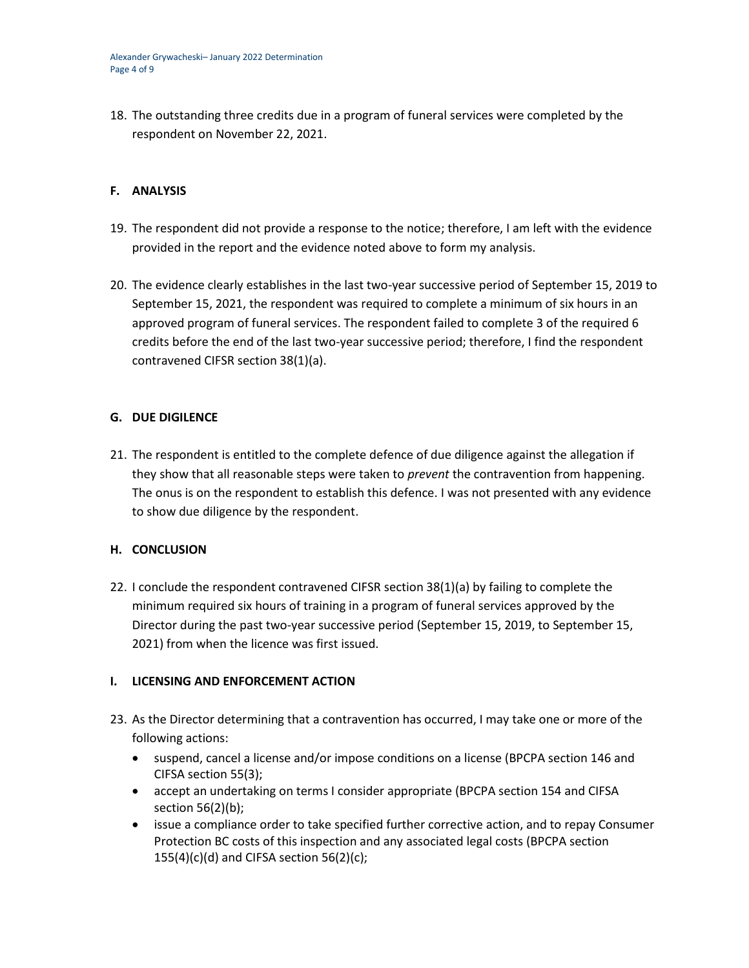18. The outstanding three credits due in a program of funeral services were completed by the respondent on November 22, 2021.

## **F. ANALYSIS**

- 19. The respondent did not provide a response to the notice; therefore, I am left with the evidence provided in the report and the evidence noted above to form my analysis.
- 20. The evidence clearly establishes in the last two-year successive period of September 15, 2019 to September 15, 2021, the respondent was required to complete a minimum of six hours in an approved program of funeral services. The respondent failed to complete 3 of the required 6 credits before the end of the last two-year successive period; therefore, I find the respondent contravened CIFSR section 38(1)(a).

## **G. DUE DIGILENCE**

21. The respondent is entitled to the complete defence of due diligence against the allegation if they show that all reasonable steps were taken to *prevent* the contravention from happening. The onus is on the respondent to establish this defence. I was not presented with any evidence to show due diligence by the respondent.

## **H. CONCLUSION**

22. I conclude the respondent contravened CIFSR section 38(1)(a) by failing to complete the minimum required six hours of training in a program of funeral services approved by the Director during the past two-year successive period (September 15, 2019, to September 15, 2021) from when the licence was first issued.

## **I. LICENSING AND ENFORCEMENT ACTION**

- 23. As the Director determining that a contravention has occurred, I may take one or more of the following actions:
	- suspend, cancel a license and/or impose conditions on a license (BPCPA section 146 and CIFSA section 55(3);
	- accept an undertaking on terms I consider appropriate (BPCPA section 154 and CIFSA section 56(2)(b);
	- issue a compliance order to take specified further corrective action, and to repay Consumer Protection BC costs of this inspection and any associated legal costs (BPCPA section  $155(4)(c)(d)$  and CIFSA section  $56(2)(c)$ ;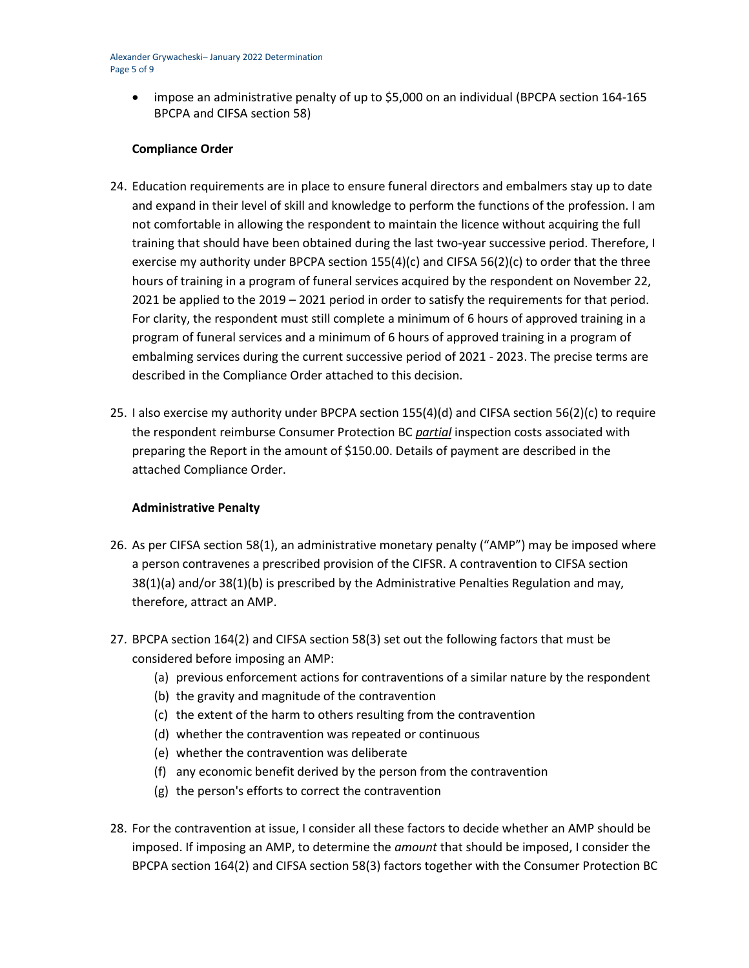• impose an administrative penalty of up to \$5,000 on an individual (BPCPA section 164-165) BPCPA and CIFSA section 58)

## **Compliance Order**

- 24. Education requirements are in place to ensure funeral directors and embalmers stay up to date and expand in their level of skill and knowledge to perform the functions of the profession. I am not comfortable in allowing the respondent to maintain the licence without acquiring the full training that should have been obtained during the last two-year successive period. Therefore, I exercise my authority under BPCPA section 155(4)(c) and CIFSA 56(2)(c) to order that the three hours of training in a program of funeral services acquired by the respondent on November 22, 2021 be applied to the 2019 – 2021 period in order to satisfy the requirements for that period. For clarity, the respondent must still complete a minimum of 6 hours of approved training in a program of funeral services and a minimum of 6 hours of approved training in a program of embalming services during the current successive period of 2021 - 2023. The precise terms are described in the Compliance Order attached to this decision.
- 25. I also exercise my authority under BPCPA section 155(4)(d) and CIFSA section 56(2)(c) to require the respondent reimburse Consumer Protection BC *partial* inspection costs associated with preparing the Report in the amount of \$150.00. Details of payment are described in the attached Compliance Order.

## **Administrative Penalty**

- 26. As per CIFSA section 58(1), an administrative monetary penalty ("AMP") may be imposed where a person contravenes a prescribed provision of the CIFSR. A contravention to CIFSA section 38(1)(a) and/or 38(1)(b) is prescribed by the Administrative Penalties Regulation and may, therefore, attract an AMP.
- 27. BPCPA section 164(2) and CIFSA section 58(3) set out the following factors that must be considered before imposing an AMP:
	- (a) previous enforcement actions for contraventions of a similar nature by the respondent
	- (b) the gravity and magnitude of the contravention
	- (c) the extent of the harm to others resulting from the contravention
	- (d) whether the contravention was repeated or continuous
	- (e) whether the contravention was deliberate
	- (f) any economic benefit derived by the person from the contravention
	- (g) the person's efforts to correct the contravention
- 28. For the contravention at issue, I consider all these factors to decide whether an AMP should be imposed. If imposing an AMP, to determine the *amount* that should be imposed, I consider the BPCPA section 164(2) and CIFSA section 58(3) factors together with the Consumer Protection BC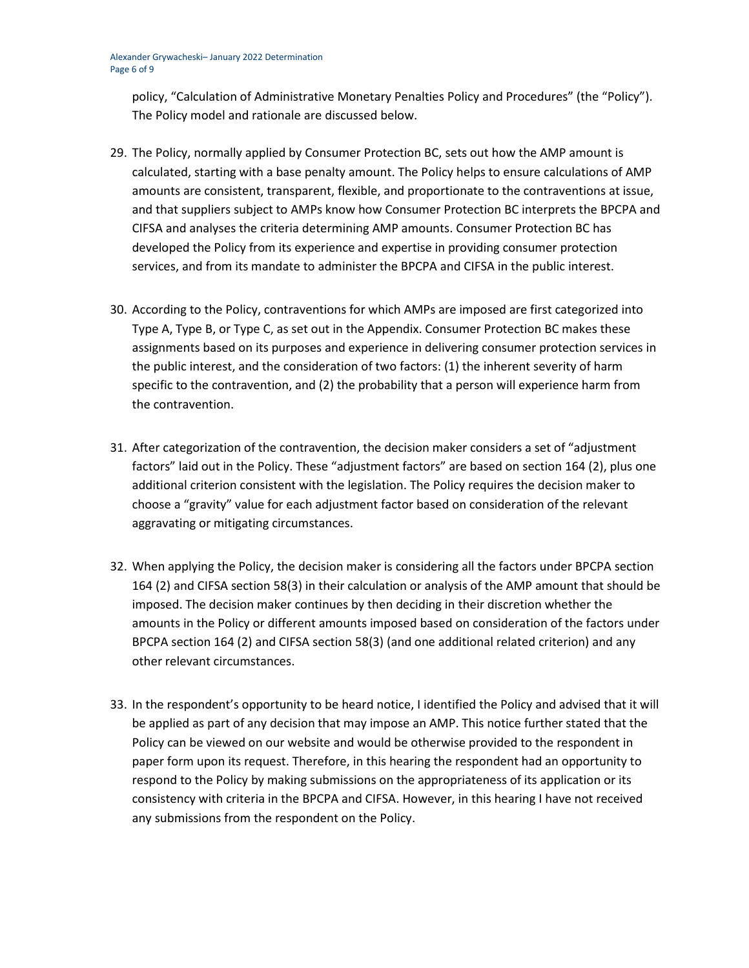policy, "Calculation of Administrative Monetary Penalties Policy and Procedures" (the "Policy"). The Policy model and rationale are discussed below.

- 29. The Policy, normally applied by Consumer Protection BC, sets out how the AMP amount is calculated, starting with a base penalty amount. The Policy helps to ensure calculations of AMP amounts are consistent, transparent, flexible, and proportionate to the contraventions at issue, and that suppliers subject to AMPs know how Consumer Protection BC interprets the BPCPA and CIFSA and analyses the criteria determining AMP amounts. Consumer Protection BC has developed the Policy from its experience and expertise in providing consumer protection services, and from its mandate to administer the BPCPA and CIFSA in the public interest.
- 30. According to the Policy, contraventions for which AMPs are imposed are first categorized into Type A, Type B, or Type C, as set out in the Appendix. Consumer Protection BC makes these assignments based on its purposes and experience in delivering consumer protection services in the public interest, and the consideration of two factors: (1) the inherent severity of harm specific to the contravention, and (2) the probability that a person will experience harm from the contravention.
- 31. After categorization of the contravention, the decision maker considers a set of "adjustment factors" laid out in the Policy. These "adjustment factors" are based on section 164 (2), plus one additional criterion consistent with the legislation. The Policy requires the decision maker to choose a "gravity" value for each adjustment factor based on consideration of the relevant aggravating or mitigating circumstances.
- 32. When applying the Policy, the decision maker is considering all the factors under BPCPA section 164 (2) and CIFSA section 58(3) in their calculation or analysis of the AMP amount that should be imposed. The decision maker continues by then deciding in their discretion whether the amounts in the Policy or different amounts imposed based on consideration of the factors under BPCPA section 164 (2) and CIFSA section 58(3) (and one additional related criterion) and any other relevant circumstances.
- 33. In the respondent's opportunity to be heard notice, I identified the Policy and advised that it will be applied as part of any decision that may impose an AMP. This notice further stated that the Policy can be viewed on our website and would be otherwise provided to the respondent in paper form upon its request. Therefore, in this hearing the respondent had an opportunity to respond to the Policy by making submissions on the appropriateness of its application or its consistency with criteria in the BPCPA and CIFSA. However, in this hearing I have not received any submissions from the respondent on the Policy.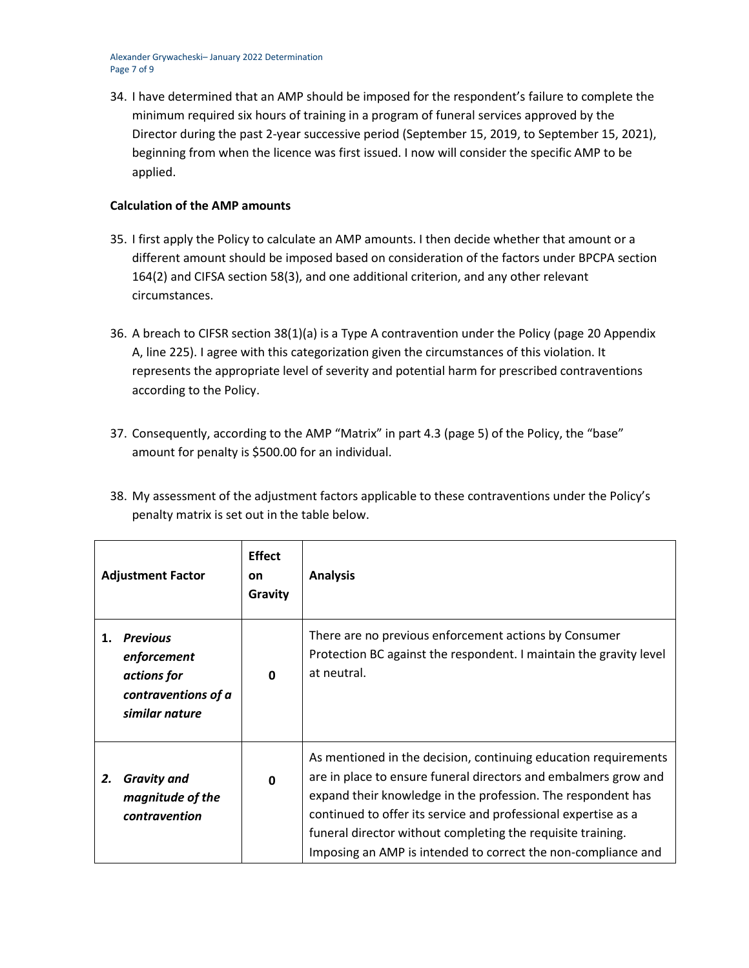Alexander Grywacheski– January 2022 Determination Page 7 of 9

34. I have determined that an AMP should be imposed for the respondent's failure to complete the minimum required six hours of training in a program of funeral services approved by the Director during the past 2-year successive period (September 15, 2019, to September 15, 2021), beginning from when the licence was first issued. I now will consider the specific AMP to be applied.

## **Calculation of the AMP amounts**

- 35. I first apply the Policy to calculate an AMP amounts. I then decide whether that amount or a different amount should be imposed based on consideration of the factors under BPCPA section 164(2) and CIFSA section 58(3), and one additional criterion, and any other relevant circumstances.
- 36. A breach to CIFSR section 38(1)(a) is a Type A contravention under the Policy (page 20 Appendix A, line 225). I agree with this categorization given the circumstances of this violation. It represents the appropriate level of severity and potential harm for prescribed contraventions according to the Policy.
- 37. Consequently, according to the AMP "Matrix" in part 4.3 (page 5) of the Policy, the "base" amount for penalty is \$500.00 for an individual.
- 38. My assessment of the adjustment factors applicable to these contraventions under the Policy's penalty matrix is set out in the table below.

| <b>Adjustment Factor</b> |                                                                                        | <b>Effect</b><br>on<br>Gravity | <b>Analysis</b>                                                                                                                                                                                                                                                                                                                                                                                      |
|--------------------------|----------------------------------------------------------------------------------------|--------------------------------|------------------------------------------------------------------------------------------------------------------------------------------------------------------------------------------------------------------------------------------------------------------------------------------------------------------------------------------------------------------------------------------------------|
| 1.                       | <b>Previous</b><br>enforcement<br>actions for<br>contraventions of a<br>similar nature | $\mathbf{0}$                   | There are no previous enforcement actions by Consumer<br>Protection BC against the respondent. I maintain the gravity level<br>at neutral.                                                                                                                                                                                                                                                           |
| 2.                       | <b>Gravity and</b><br>magnitude of the<br>contravention                                | 0                              | As mentioned in the decision, continuing education requirements<br>are in place to ensure funeral directors and embalmers grow and<br>expand their knowledge in the profession. The respondent has<br>continued to offer its service and professional expertise as a<br>funeral director without completing the requisite training.<br>Imposing an AMP is intended to correct the non-compliance and |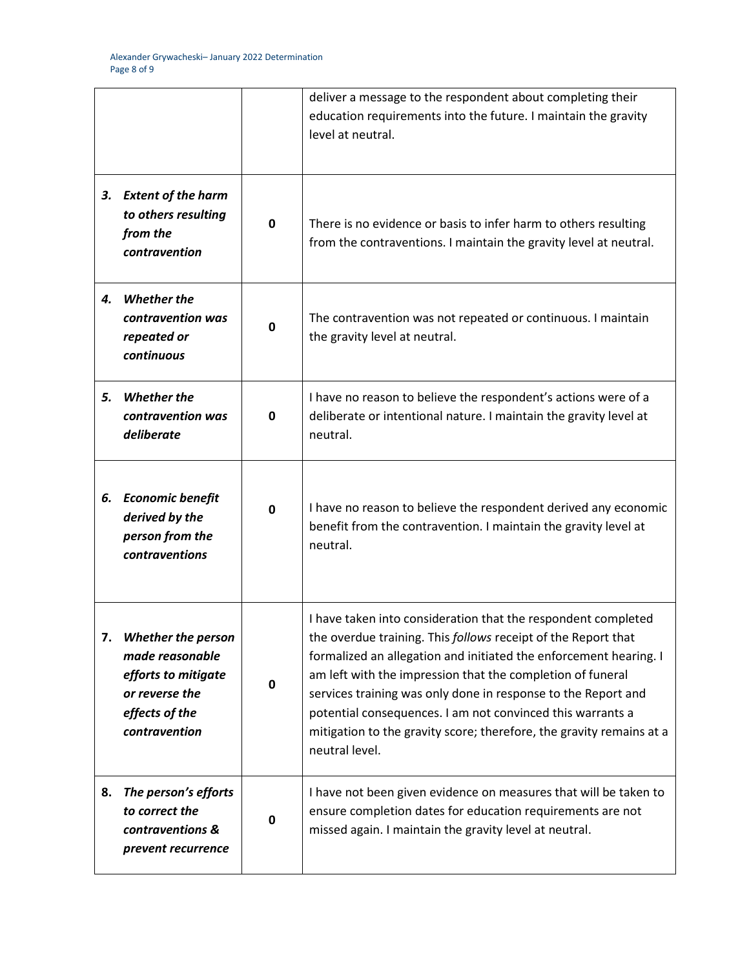|    |                                                                                                                          |             | deliver a message to the respondent about completing their<br>education requirements into the future. I maintain the gravity                                                                                                                                                                                                                                                                                                                                                               |
|----|--------------------------------------------------------------------------------------------------------------------------|-------------|--------------------------------------------------------------------------------------------------------------------------------------------------------------------------------------------------------------------------------------------------------------------------------------------------------------------------------------------------------------------------------------------------------------------------------------------------------------------------------------------|
|    |                                                                                                                          |             | level at neutral.                                                                                                                                                                                                                                                                                                                                                                                                                                                                          |
|    | 3. Extent of the harm<br>to others resulting<br>from the<br>contravention                                                | 0           | There is no evidence or basis to infer harm to others resulting<br>from the contraventions. I maintain the gravity level at neutral.                                                                                                                                                                                                                                                                                                                                                       |
|    | 4. Whether the<br>contravention was<br>repeated or<br>continuous                                                         | $\mathbf 0$ | The contravention was not repeated or continuous. I maintain<br>the gravity level at neutral.                                                                                                                                                                                                                                                                                                                                                                                              |
| 5. | <b>Whether the</b><br>contravention was<br>deliberate                                                                    | 0           | I have no reason to believe the respondent's actions were of a<br>deliberate or intentional nature. I maintain the gravity level at<br>neutral.                                                                                                                                                                                                                                                                                                                                            |
| 6. | <b>Economic benefit</b><br>derived by the<br>person from the<br>contraventions                                           | 0           | I have no reason to believe the respondent derived any economic<br>benefit from the contravention. I maintain the gravity level at<br>neutral.                                                                                                                                                                                                                                                                                                                                             |
|    | <b>Whether the person</b><br>made reasonable<br>efforts to mitigate<br>or reverse the<br>effects of the<br>contravention | 0           | I have taken into consideration that the respondent completed<br>the overdue training. This follows receipt of the Report that<br>formalized an allegation and initiated the enforcement hearing. I<br>am left with the impression that the completion of funeral<br>services training was only done in response to the Report and<br>potential consequences. I am not convinced this warrants a<br>mitigation to the gravity score; therefore, the gravity remains at a<br>neutral level. |
| 8. | The person's efforts<br>to correct the<br>contraventions &<br>prevent recurrence                                         | 0           | I have not been given evidence on measures that will be taken to<br>ensure completion dates for education requirements are not<br>missed again. I maintain the gravity level at neutral.                                                                                                                                                                                                                                                                                                   |